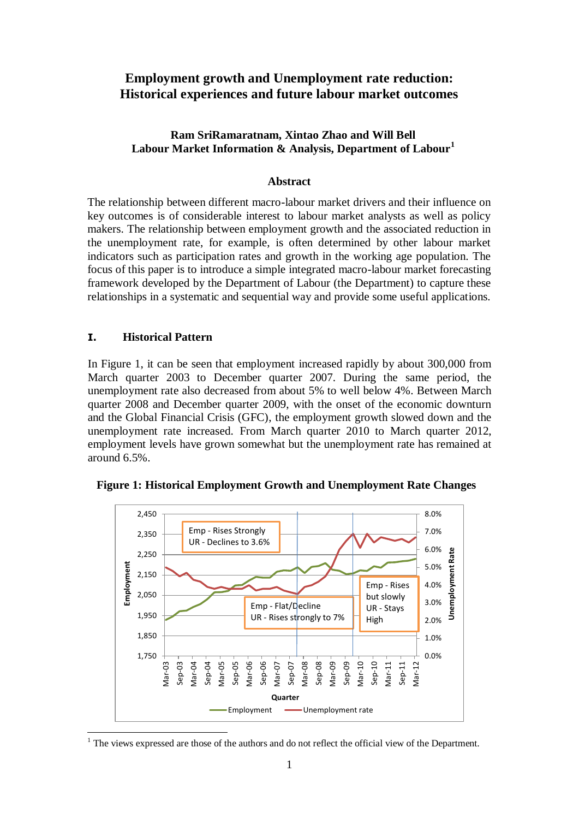# **Employment growth and Unemployment rate reduction: Historical experiences and future labour market outcomes**

## **Ram SriRamaratnam, Xintao Zhao and Will Bell Labour Market Information & Analysis, Department of Labour<sup>1</sup>**

## **Abstract**

The relationship between different macro-labour market drivers and their influence on key outcomes is of considerable interest to labour market analysts as well as policy makers. The relationship between employment growth and the associated reduction in the unemployment rate, for example, is often determined by other labour market indicators such as participation rates and growth in the working age population. The focus of this paper is to introduce a simple integrated macro-labour market forecasting framework developed by the Department of Labour (the Department) to capture these relationships in a systematic and sequential way and provide some useful applications.

## **I. Historical Pattern**

<u>.</u>

In Figure 1, it can be seen that employment increased rapidly by about 300,000 from March quarter 2003 to December quarter 2007. During the same period, the unemployment rate also decreased from about 5% to well below 4%. Between March quarter 2008 and December quarter 2009, with the onset of the economic downturn and the Global Financial Crisis (GFC), the employment growth slowed down and the unemployment rate increased. From March quarter 2010 to March quarter 2012, employment levels have grown somewhat but the unemployment rate has remained at around 6.5%.



**Figure 1: Historical Employment Growth and Unemployment Rate Changes**

 $<sup>1</sup>$  The views expressed are those of the authors and do not reflect the official view of the Department.</sup>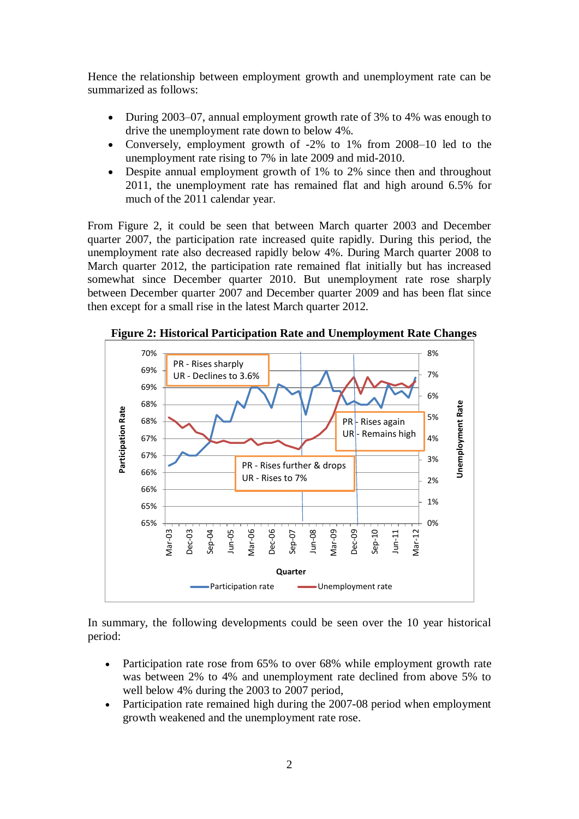Hence the relationship between employment growth and unemployment rate can be summarized as follows:

- During 2003–07, annual employment growth rate of 3% to 4% was enough to drive the unemployment rate down to below 4%.
- Conversely, employment growth of -2% to 1% from 2008–10 led to the unemployment rate rising to 7% in late 2009 and mid-2010.
- Despite annual employment growth of 1% to 2% since then and throughout 2011, the unemployment rate has remained flat and high around 6.5% for much of the 2011 calendar year.

From Figure 2, it could be seen that between March quarter 2003 and December quarter 2007, the participation rate increased quite rapidly. During this period, the unemployment rate also decreased rapidly below 4%. During March quarter 2008 to March quarter 2012, the participation rate remained flat initially but has increased somewhat since December quarter 2010. But unemployment rate rose sharply between December quarter 2007 and December quarter 2009 and has been flat since then except for a small rise in the latest March quarter 2012.



 **Figure 2: Historical Participation Rate and Unemployment Rate Changes**

In summary, the following developments could be seen over the 10 year historical period:

- Participation rate rose from 65% to over 68% while employment growth rate was between 2% to 4% and unemployment rate declined from above 5% to well below 4% during the 2003 to 2007 period,
- Participation rate remained high during the 2007-08 period when employment growth weakened and the unemployment rate rose.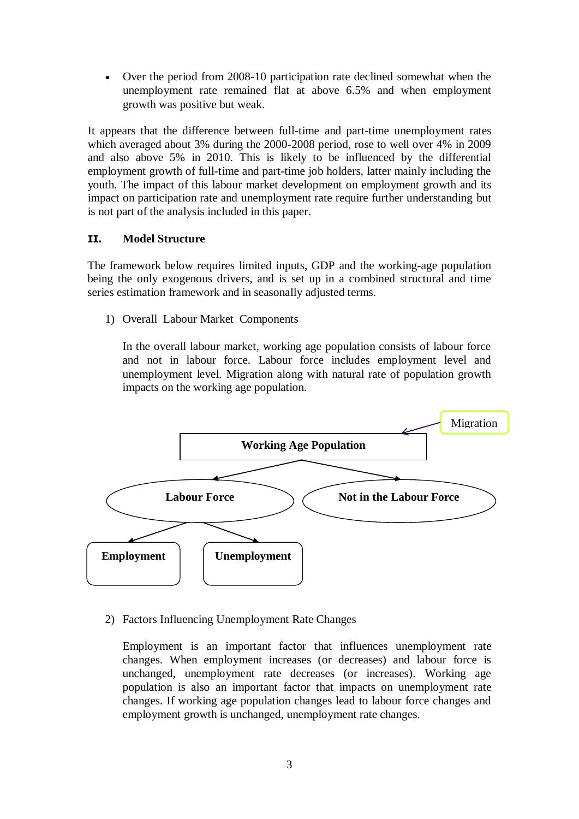• Over the period from 2008-10 participation rate declined somewhat when the unemployment rate remained flat at above 6.5% and when employment growth was positive but weak.

It appears that the difference between full-time and part-time unemployment rates which averaged about 3% during the 2000-2008 period, rose to well over 4% in 2009 and also above 5% in 2010. This is likely to be influenced by the differential employment growth of full-time and part-time job holders, latter mainly including the youth. The impact of this labour market development on employment growth and its impact on participation rate and unemployment rate require further understanding but is not part of the analysis included in this paper.

## **II. Model Structure**

The framework below requires limited inputs, GDP and the working-age population being the only exogenous drivers, and is set up in a combined structural and time series estimation framework and in seasonally adjusted terms.

1) Overall Labour Market Components

In the overall labour market, working age population consists of labour force and not in labour force. Labour force includes employment level and unemployment level. Migration along with natural rate of population growth impacts on the working age population.



## 2) Factors Influencing Unemployment Rate Changes

Employment is an important factor that influences unemployment rate changes. When employment increases (or decreases) and labour force is unchanged, unemployment rate decreases (or increases). Working age population is also an important factor that impacts on unemployment rate changes. If working age population changes lead to labour force changes and employment growth is unchanged, unemployment rate changes.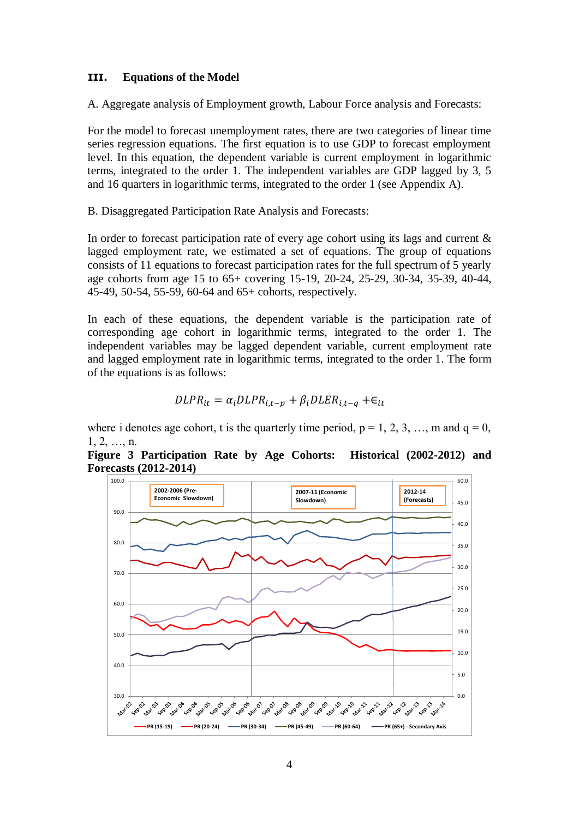## **III. Equations of the Model**

A. Aggregate analysis of Employment growth, Labour Force analysis and Forecasts:

For the model to forecast unemployment rates, there are two categories of linear time series regression equations. The first equation is to use GDP to forecast employment level. In this equation, the dependent variable is current employment in logarithmic terms, integrated to the order 1. The independent variables are GDP lagged by 3, 5 and 16 quarters in logarithmic terms, integrated to the order 1 (see Appendix A).

B. Disaggregated Participation Rate Analysis and Forecasts:

In order to forecast participation rate of every age cohort using its lags and current  $\&$ lagged employment rate, we estimated a set of equations. The group of equations consists of 11 equations to forecast participation rates for the full spectrum of 5 yearly age cohorts from age 15 to 65+ covering 15-19, 20-24, 25-29, 30-34, 35-39, 40-44, 45-49, 50-54, 55-59, 60-64 and 65+ cohorts, respectively.

In each of these equations, the dependent variable is the participation rate of corresponding age cohort in logarithmic terms, integrated to the order 1. The independent variables may be lagged dependent variable, current employment rate and lagged employment rate in logarithmic terms, integrated to the order 1. The form of the equations is as follows:

$$
DLPR_{it} = \alpha_i DLPR_{i,t-p} + \beta_i DLER_{i,t-q} + \epsilon_{it}
$$

where i denotes age cohort, t is the quarterly time period,  $p = 1, 2, 3, \dots$ , m and  $q = 0$ ,  $1, 2, \ldots, n$ .

**Figure 3 Participation Rate by Age Cohorts: Historical (2002-2012) and Forecasts (2012-2014)**

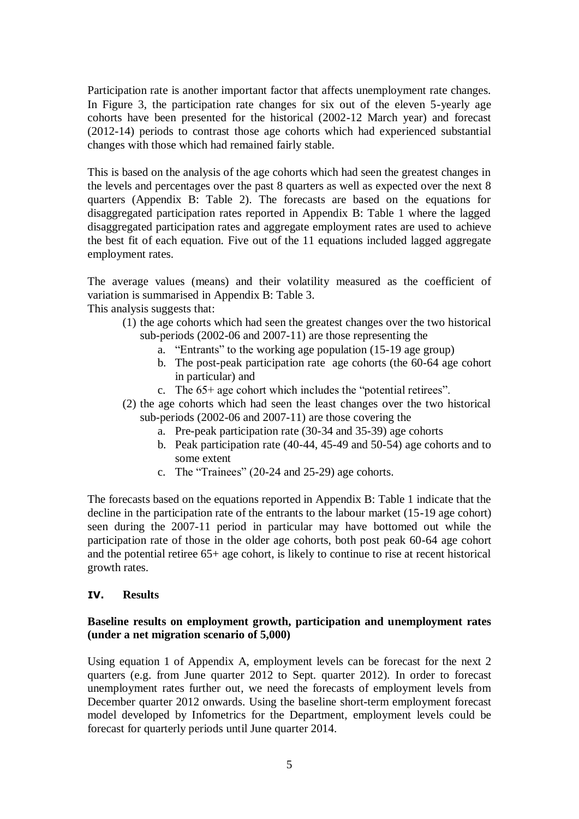Participation rate is another important factor that affects unemployment rate changes. In Figure 3, the participation rate changes for six out of the eleven 5-yearly age cohorts have been presented for the historical (2002-12 March year) and forecast (2012-14) periods to contrast those age cohorts which had experienced substantial changes with those which had remained fairly stable.

This is based on the analysis of the age cohorts which had seen the greatest changes in the levels and percentages over the past 8 quarters as well as expected over the next 8 quarters (Appendix B: Table 2). The forecasts are based on the equations for disaggregated participation rates reported in Appendix B: Table 1 where the lagged disaggregated participation rates and aggregate employment rates are used to achieve the best fit of each equation. Five out of the 11 equations included lagged aggregate employment rates.

The average values (means) and their volatility measured as the coefficient of variation is summarised in Appendix B: Table 3. This analysis suggests that:

- (1) the age cohorts which had seen the greatest changes over the two historical sub-periods (2002-06 and 2007-11) are those representing the
	- a. "Entrants" to the working age population (15-19 age group)
	- b. The post-peak participation rate age cohorts (the 60-64 age cohort in particular) and
	- c. The 65+ age cohort which includes the "potential retirees".
- (2) the age cohorts which had seen the least changes over the two historical sub-periods (2002-06 and 2007-11) are those covering the
	- a. Pre-peak participation rate (30-34 and 35-39) age cohorts
	- b. Peak participation rate (40-44, 45-49 and 50-54) age cohorts and to some extent
	- c. The "Trainees" (20-24 and 25-29) age cohorts.

The forecasts based on the equations reported in Appendix B: Table 1 indicate that the decline in the participation rate of the entrants to the labour market (15-19 age cohort) seen during the 2007-11 period in particular may have bottomed out while the participation rate of those in the older age cohorts, both post peak 60-64 age cohort and the potential retiree 65+ age cohort, is likely to continue to rise at recent historical growth rates.

## **IV. Results**

## **Baseline results on employment growth, participation and unemployment rates (under a net migration scenario of 5,000)**

Using equation 1 of Appendix A, employment levels can be forecast for the next 2 quarters (e.g. from June quarter 2012 to Sept. quarter 2012). In order to forecast unemployment rates further out, we need the forecasts of employment levels from December quarter 2012 onwards. Using the baseline short-term employment forecast model developed by Infometrics for the Department, employment levels could be forecast for quarterly periods until June quarter 2014.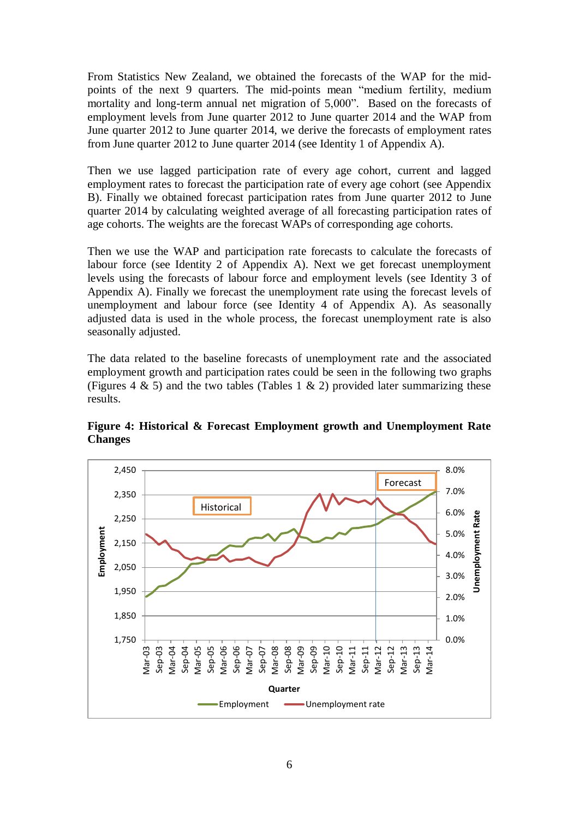From Statistics New Zealand, we obtained the forecasts of the WAP for the midpoints of the next 9 quarters. The mid-points mean "medium fertility, medium mortality and long-term annual net migration of 5,000". Based on the forecasts of employment levels from June quarter 2012 to June quarter 2014 and the WAP from June quarter 2012 to June quarter 2014, we derive the forecasts of employment rates from June quarter 2012 to June quarter 2014 (see Identity 1 of Appendix A).

Then we use lagged participation rate of every age cohort, current and lagged employment rates to forecast the participation rate of every age cohort (see Appendix B). Finally we obtained forecast participation rates from June quarter 2012 to June quarter 2014 by calculating weighted average of all forecasting participation rates of age cohorts. The weights are the forecast WAPs of corresponding age cohorts.

Then we use the WAP and participation rate forecasts to calculate the forecasts of labour force (see Identity 2 of Appendix A). Next we get forecast unemployment levels using the forecasts of labour force and employment levels (see Identity 3 of Appendix A). Finally we forecast the unemployment rate using the forecast levels of unemployment and labour force (see Identity 4 of Appendix A). As seasonally adjusted data is used in the whole process, the forecast unemployment rate is also seasonally adjusted.

The data related to the baseline forecasts of unemployment rate and the associated employment growth and participation rates could be seen in the following two graphs (Figures 4  $\&$  5) and the two tables (Tables 1  $\&$  2) provided later summarizing these results.



**Figure 4: Historical & Forecast Employment growth and Unemployment Rate Changes**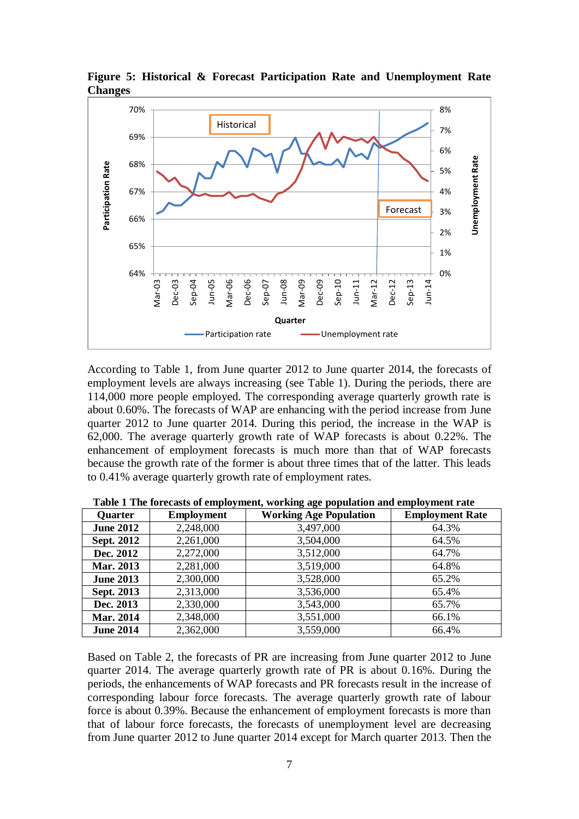

**Figure 5: Historical & Forecast Participation Rate and Unemployment Rate Changes**

According to Table 1, from June quarter 2012 to June quarter 2014, the forecasts of employment levels are always increasing (see Table 1). During the periods, there are 114,000 more people employed. The corresponding average quarterly growth rate is about 0.60%. The forecasts of WAP are enhancing with the period increase from June quarter 2012 to June quarter 2014. During this period, the increase in the WAP is 62,000. The average quarterly growth rate of WAP forecasts is about 0.22%. The enhancement of employment forecasts is much more than that of WAP forecasts because the growth rate of the former is about three times that of the latter. This leads to 0.41% average quarterly growth rate of employment rates.

| Quarter           | <b>Employment</b> | <b>Working Age Population</b> | <b>Employment Rate</b> |
|-------------------|-------------------|-------------------------------|------------------------|
| <b>June 2012</b>  | 2,248,000         | 3,497,000                     | 64.3%                  |
| <b>Sept. 2012</b> | 2,261,000         | 3,504,000                     | 64.5%                  |
| Dec. 2012         | 2,272,000         | 3,512,000                     | 64.7%                  |
| Mar. 2013         | 2,281,000         | 3,519,000                     | 64.8%                  |
| <b>June 2013</b>  | 2,300,000         | 3,528,000                     | 65.2%                  |
| Sept. 2013        | 2,313,000         | 3,536,000                     | 65.4%                  |
| Dec. 2013         | 2,330,000         | 3,543,000                     | 65.7%                  |
| Mar. 2014         | 2,348,000         | 3,551,000                     | 66.1%                  |
| <b>June 2014</b>  | 2,362,000         | 3,559,000                     | 66.4%                  |

 **Table 1 The forecasts of employment, working age population and employment rate**

Based on Table 2, the forecasts of PR are increasing from June quarter 2012 to June quarter 2014. The average quarterly growth rate of PR is about 0.16%. During the periods, the enhancements of WAP forecasts and PR forecasts result in the increase of corresponding labour force forecasts. The average quarterly growth rate of labour force is about 0.39%. Because the enhancement of employment forecasts is more than that of labour force forecasts, the forecasts of unemployment level are decreasing from June quarter 2012 to June quarter 2014 except for March quarter 2013. Then the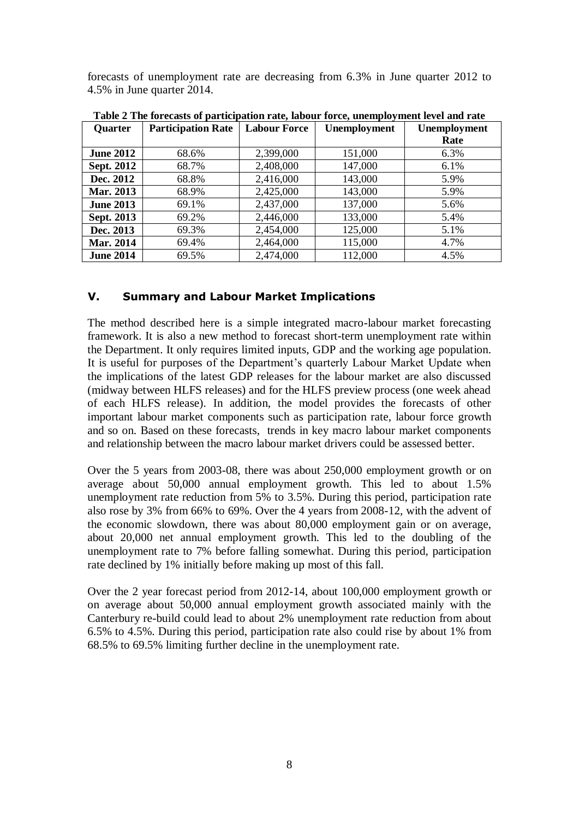forecasts of unemployment rate are decreasing from 6.3% in June quarter 2012 to 4.5% in June quarter 2014.

|                   | $\frac{1}{2}$             |                     | $\sim$ , and $\sim$ , and |                     |
|-------------------|---------------------------|---------------------|---------------------------|---------------------|
| <b>Quarter</b>    | <b>Participation Rate</b> | <b>Labour Force</b> | <b>Unemployment</b>       | <b>Unemployment</b> |
|                   |                           |                     |                           | Rate                |
| <b>June 2012</b>  | 68.6%                     | 2,399,000           | 151,000                   | 6.3%                |
| <b>Sept. 2012</b> | 68.7%                     | 2,408,000           | 147,000                   | 6.1%                |
| Dec. 2012         | 68.8%                     | 2,416,000           | 143,000                   | 5.9%                |
| Mar. 2013         | 68.9%                     | 2,425,000           | 143,000                   | 5.9%                |
| <b>June 2013</b>  | 69.1%                     | 2,437,000           | 137,000                   | 5.6%                |
| Sept. 2013        | 69.2%                     | 2,446,000           | 133,000                   | 5.4%                |
| Dec. 2013         | 69.3%                     | 2,454,000           | 125,000                   | 5.1%                |
| Mar. 2014         | 69.4%                     | 2,464,000           | 115,000                   | 4.7%                |
| <b>June 2014</b>  | 69.5%                     | 2,474,000           | 112,000                   | 4.5%                |

**Table 2 The forecasts of participation rate, labour force, unemployment level and rate**

## **V. Summary and Labour Market Implications**

The method described here is a simple integrated macro-labour market forecasting framework. It is also a new method to forecast short-term unemployment rate within the Department. It only requires limited inputs, GDP and the working age population. It is useful for purposes of the Department's quarterly Labour Market Update when the implications of the latest GDP releases for the labour market are also discussed (midway between HLFS releases) and for the HLFS preview process (one week ahead of each HLFS release). In addition, the model provides the forecasts of other important labour market components such as participation rate, labour force growth and so on. Based on these forecasts, trends in key macro labour market components and relationship between the macro labour market drivers could be assessed better.

Over the 5 years from 2003-08, there was about 250,000 employment growth or on average about 50,000 annual employment growth. This led to about 1.5% unemployment rate reduction from 5% to 3.5%. During this period, participation rate also rose by 3% from 66% to 69%. Over the 4 years from 2008-12, with the advent of the economic slowdown, there was about 80,000 employment gain or on average, about 20,000 net annual employment growth. This led to the doubling of the unemployment rate to 7% before falling somewhat. During this period, participation rate declined by 1% initially before making up most of this fall.

Over the 2 year forecast period from 2012-14, about 100,000 employment growth or on average about 50,000 annual employment growth associated mainly with the Canterbury re-build could lead to about 2% unemployment rate reduction from about 6.5% to 4.5%. During this period, participation rate also could rise by about 1% from 68.5% to 69.5% limiting further decline in the unemployment rate.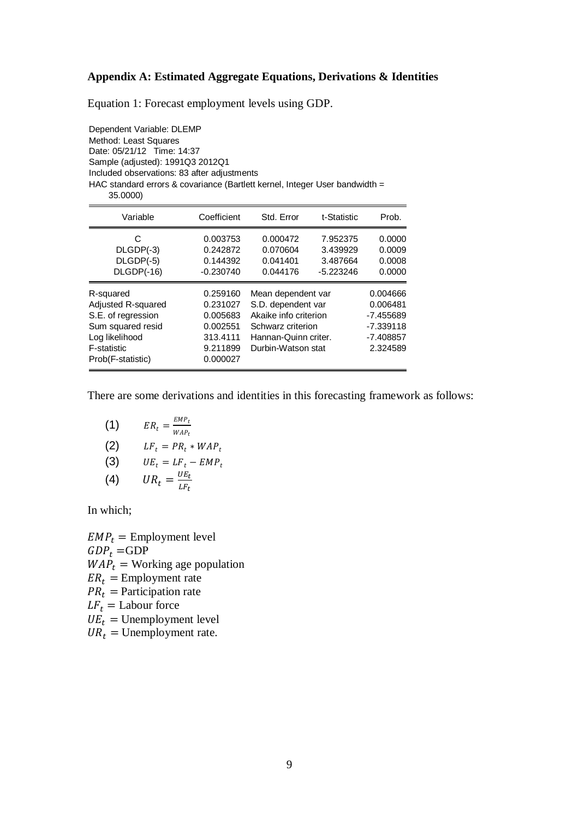#### **Appendix A: Estimated Aggregate Equations, Derivations & Identities**

Equation 1: Forecast employment levels using GDP.

Dependent Variable: DLEMP Method: Least Squares Date: 05/21/12 Time: 14:37 Sample (adjusted): 1991Q3 2012Q1 Included observations: 83 after adjustments HAC standard errors & covariance (Bartlett kernel, Integer User bandwidth = 35.0000)

| Variable                                                                                                                         | Coefficient                                                                      | Std. Error                                                                                                                           | t-Statistic                                     | Prob.                                                                         |
|----------------------------------------------------------------------------------------------------------------------------------|----------------------------------------------------------------------------------|--------------------------------------------------------------------------------------------------------------------------------------|-------------------------------------------------|-------------------------------------------------------------------------------|
| C<br>DLGDP(-3)<br>DLGDP(-5)<br>DLGDP(-16)                                                                                        | 0.003753<br>0.242872<br>0.144392<br>$-0.230740$                                  | 0.000472<br>0.070604<br>0.041401<br>0.044176                                                                                         | 7.952375<br>3.439929<br>3.487664<br>$-5.223246$ | 0.0000<br>0.0009<br>0.0008<br>0.0000                                          |
| R-squared<br>Adjusted R-squared<br>S.E. of regression<br>Sum squared resid<br>Log likelihood<br>F-statistic<br>Prob(F-statistic) | 0.259160<br>0.231027<br>0.005683<br>0.002551<br>313.4111<br>9.211899<br>0.000027 | Mean dependent var<br>S.D. dependent var<br>Akaike info criterion<br>Schwarz criterion<br>Hannan-Quinn criter.<br>Durbin-Watson stat |                                                 | 0.004666<br>0.006481<br>$-7.455689$<br>$-7.339118$<br>$-7.408857$<br>2.324589 |

There are some derivations and identities in this forecasting framework as follows:

(1) 
$$
ER_t = \frac{EMP_t}{WAP_t}
$$
  
\n(2) 
$$
LF_t = PR_t * WAP_t
$$
  
\n(3) 
$$
UE_t = LF_t - EMP_t
$$
  
\n(4) 
$$
UR_t = \frac{UE_t}{LF_t}
$$

In which;

 $EMP<sub>t</sub>$  = Employment level  $GDP_t = GDP$  $WAP_t = \text{Working age population}$  $ER_t =$  Employment rate  $PR_t$  = Participation rate  $LF_t =$  Labour force  $UE_t =$  Unemployment level  $UR_t =$  Unemployment rate.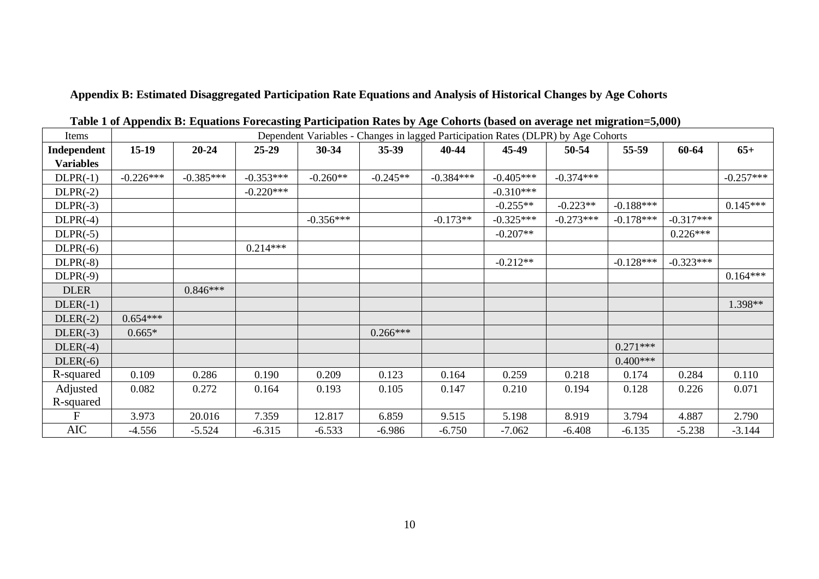**Appendix B: Estimated Disaggregated Participation Rate Equations and Analysis of Historical Changes by Age Cohorts**

| Items            | Dependent Variables - Changes in lagged Participation Rates (DLPR) by Age Cohorts |             |             |             |            |             |             |             |             |             |             |
|------------------|-----------------------------------------------------------------------------------|-------------|-------------|-------------|------------|-------------|-------------|-------------|-------------|-------------|-------------|
| Independent      | $15-19$                                                                           | $20 - 24$   | $25 - 29$   | 30-34       | $35-39$    | 40-44       | 45-49       | 50-54       | 55-59       | 60-64       | $65+$       |
| <b>Variables</b> |                                                                                   |             |             |             |            |             |             |             |             |             |             |
| $DLPR(-1)$       | $-0.226***$                                                                       | $-0.385***$ | $-0.353***$ | $-0.260**$  | $-0.245**$ | $-0.384***$ | $-0.405***$ | $-0.374***$ |             |             | $-0.257***$ |
| $DLPR(-2)$       |                                                                                   |             | $-0.220***$ |             |            |             | $-0.310***$ |             |             |             |             |
| $DLPR(-3)$       |                                                                                   |             |             |             |            |             | $-0.255**$  | $-0.223**$  | $-0.188***$ |             | $0.145***$  |
| $DLPR(-4)$       |                                                                                   |             |             | $-0.356***$ |            | $-0.173**$  | $-0.325***$ | $-0.273***$ | $-0.178***$ | $-0.317***$ |             |
| $DLPR(-5)$       |                                                                                   |             |             |             |            |             | $-0.207**$  |             |             | $0.226***$  |             |
| $DLPR(-6)$       |                                                                                   |             | $0.214***$  |             |            |             |             |             |             |             |             |
| $DLPR(-8)$       |                                                                                   |             |             |             |            |             | $-0.212**$  |             | $-0.128***$ | $-0.323***$ |             |
| $DLPR(-9)$       |                                                                                   |             |             |             |            |             |             |             |             |             | $0.164***$  |
| <b>DLER</b>      |                                                                                   | $0.846***$  |             |             |            |             |             |             |             |             |             |
| $DLER(-1)$       |                                                                                   |             |             |             |            |             |             |             |             |             | 1.398**     |
| $DLER(-2)$       | $0.654***$                                                                        |             |             |             |            |             |             |             |             |             |             |
| $DLER(-3)$       | $0.665*$                                                                          |             |             |             | $0.266***$ |             |             |             |             |             |             |
| $DLER(-4)$       |                                                                                   |             |             |             |            |             |             |             | $0.271***$  |             |             |
| $DLER(-6)$       |                                                                                   |             |             |             |            |             |             |             | $0.400***$  |             |             |
| R-squared        | 0.109                                                                             | 0.286       | 0.190       | 0.209       | 0.123      | 0.164       | 0.259       | 0.218       | 0.174       | 0.284       | 0.110       |
| Adjusted         | 0.082                                                                             | 0.272       | 0.164       | 0.193       | 0.105      | 0.147       | 0.210       | 0.194       | 0.128       | 0.226       | 0.071       |
| R-squared        |                                                                                   |             |             |             |            |             |             |             |             |             |             |
| F                | 3.973                                                                             | 20.016      | 7.359       | 12.817      | 6.859      | 9.515       | 5.198       | 8.919       | 3.794       | 4.887       | 2.790       |
| <b>AIC</b>       | -4.556                                                                            | $-5.524$    | $-6.315$    | $-6.533$    | $-6.986$   | $-6.750$    | $-7.062$    | $-6.408$    | $-6.135$    | $-5.238$    | $-3.144$    |

**Table 1 of Appendix B: Equations Forecasting Participation Rates by Age Cohorts (based on average net migration=5,000)**